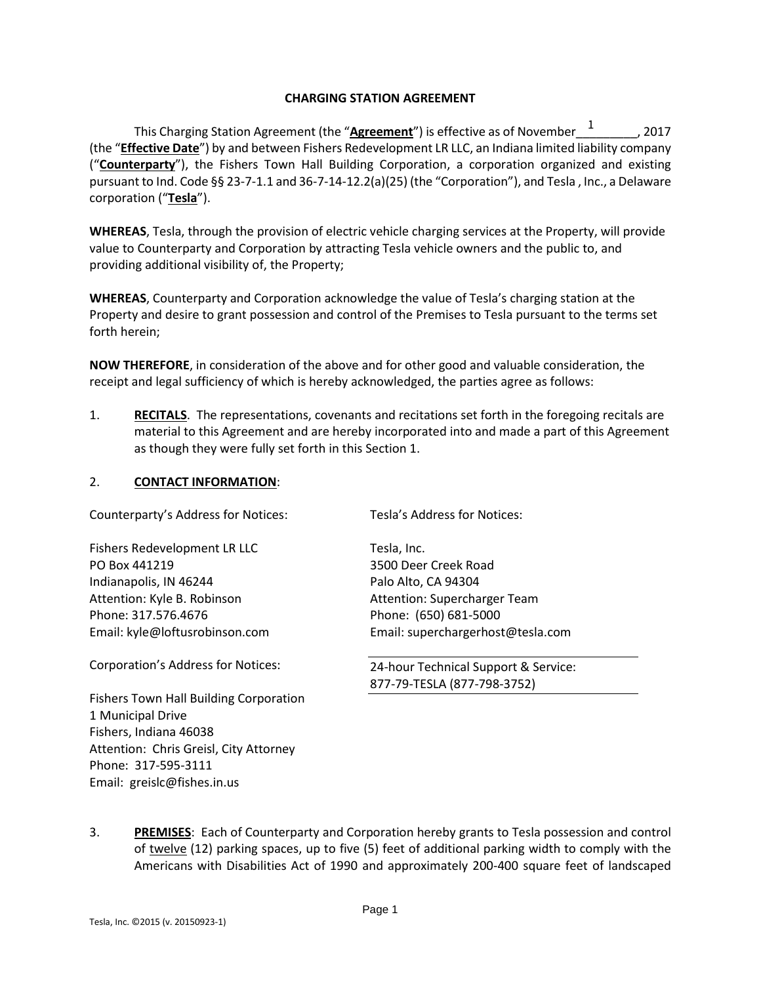### **CHARGING STATION AGREEMENT**

This Charging Station Agreement (the "**Agreement**") is effective as of November\_\_\_\_\_\_\_\_\_, 2017 1(the "**Effective Date**") by and between Fishers Redevelopment LR LLC, an Indiana limited liability company ("**Counterparty**"), the Fishers Town Hall Building Corporation, a corporation organized and existing pursuant to Ind. Code §§ 23-7-1.1 and 36-7-14-12.2(a)(25) (the "Corporation"), and Tesla , Inc., a Delaware corporation ("**Tesla**").

**WHEREAS**, Tesla, through the provision of electric vehicle charging services at the Property, will provide value to Counterparty and Corporation by attracting Tesla vehicle owners and the public to, and providing additional visibility of, the Property;

**WHEREAS**, Counterparty and Corporation acknowledge the value of Tesla's charging station at the Property and desire to grant possession and control of the Premises to Tesla pursuant to the terms set forth herein;

**NOW THEREFORE**, in consideration of the above and for other good and valuable consideration, the receipt and legal sufficiency of which is hereby acknowledged, the parties agree as follows:

1. **RECITALS**. The representations, covenants and recitations set forth in the foregoing recitals are material to this Agreement and are hereby incorporated into and made a part of this Agreement as though they were fully set forth in this Section 1.

### 2. **CONTACT INFORMATION**:

Counterparty's Address for Notices:

Fishers Redevelopment LR LLC PO Box 441219 Indianapolis, IN 46244 Attention: Kyle B. Robinson Phone: 317.576.4676 Email: kyle@loftusrobinson.com

Corporation's Address for Notices:

Tesla's Address for Notices:

Tesla, Inc. 3500 Deer Creek Road Palo Alto, CA 94304 Attention: Supercharger Team Phone: (650) 681-5000 Email: superchargerhost@tesla.com

24-hour Technical Support & Service: 877-79-TESLA (877-798-3752)

Fishers Town Hall Building Corporation 1 Municipal Drive Fishers, Indiana 46038 Attention: Chris Greisl, City Attorney Phone: 317-595-3111 Email: greislc@fishes.in.us

3. **PREMISES**: Each of Counterparty and Corporation hereby grants to Tesla possession and control of twelve (12) parking spaces, up to five (5) feet of additional parking width to comply with the Americans with Disabilities Act of 1990 and approximately 200-400 square feet of landscaped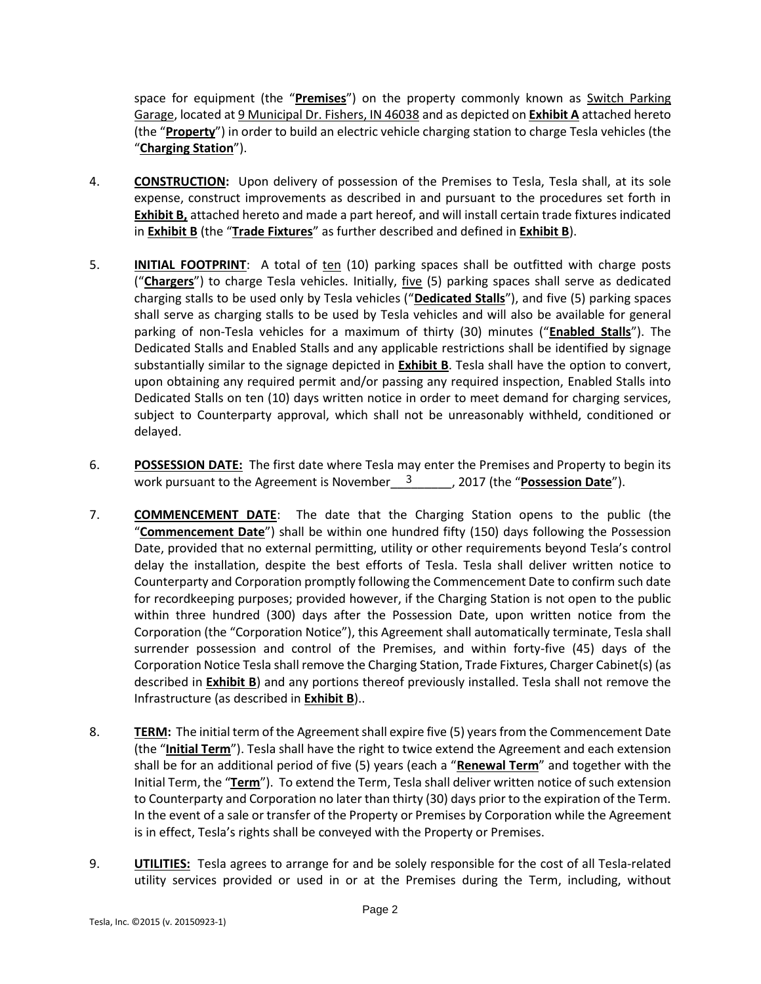space for equipment (the "**Premises**") on the property commonly known as Switch Parking Garage, located at 9 Municipal Dr. Fishers, IN 46038 and as depicted on **Exhibit A** attached hereto (the "**Property**") in order to build an electric vehicle charging station to charge Tesla vehicles (the "**Charging Station**").

- 4. **CONSTRUCTION:** Upon delivery of possession of the Premises to Tesla, Tesla shall, at its sole expense, construct improvements as described in and pursuant to the procedures set forth in **Exhibit B,** attached hereto and made a part hereof, and will install certain trade fixtures indicated in **Exhibit B** (the "**Trade Fixtures**" as further described and defined in **Exhibit B**).
- 5. **INITIAL FOOTPRINT**: A total of ten (10) parking spaces shall be outfitted with charge posts ("**Chargers**") to charge Tesla vehicles. Initially, five (5) parking spaces shall serve as dedicated charging stalls to be used only by Tesla vehicles ("**Dedicated Stalls**"), and five (5) parking spaces shall serve as charging stalls to be used by Tesla vehicles and will also be available for general parking of non-Tesla vehicles for a maximum of thirty (30) minutes ("**Enabled Stalls**"). The Dedicated Stalls and Enabled Stalls and any applicable restrictions shall be identified by signage substantially similar to the signage depicted in **Exhibit B**. Tesla shall have the option to convert, upon obtaining any required permit and/or passing any required inspection, Enabled Stalls into Dedicated Stalls on ten (10) days written notice in order to meet demand for charging services, subject to Counterparty approval, which shall not be unreasonably withheld, conditioned or delayed.
- 6. **POSSESSION DATE:** The first date where Tesla may enter the Premises and Property to begin its work pursuant to the Agreement is November\_\_\_<sup>3</sup>\_\_\_\_\_\_\_, 2017 (the "Possession Date").
- 7. **COMMENCEMENT DATE**: The date that the Charging Station opens to the public (the "**Commencement Date**") shall be within one hundred fifty (150) days following the Possession Date, provided that no external permitting, utility or other requirements beyond Tesla's control delay the installation, despite the best efforts of Tesla. Tesla shall deliver written notice to Counterparty and Corporation promptly following the Commencement Date to confirm such date for recordkeeping purposes; provided however, if the Charging Station is not open to the public within three hundred (300) days after the Possession Date, upon written notice from the Corporation (the "Corporation Notice"), this Agreement shall automatically terminate, Tesla shall surrender possession and control of the Premises, and within forty-five (45) days of the Corporation Notice Tesla shall remove the Charging Station, Trade Fixtures, Charger Cabinet(s) (as described in **Exhibit B**) and any portions thereof previously installed. Tesla shall not remove the Infrastructure (as described in **Exhibit B**)..
- 8. **TERM:** The initial term of the Agreement shall expire five (5) years from the Commencement Date (the "**Initial Term**"). Tesla shall have the right to twice extend the Agreement and each extension shall be for an additional period of five (5) years (each a "**Renewal Term**" and together with the Initial Term, the "**Term**"). To extend the Term, Tesla shall deliver written notice of such extension to Counterparty and Corporation no later than thirty (30) days prior to the expiration of the Term. In the event of a sale or transfer of the Property or Premises by Corporation while the Agreement is in effect, Tesla's rights shall be conveyed with the Property or Premises.
- 9. **UTILITIES:** Tesla agrees to arrange for and be solely responsible for the cost of all Tesla-related utility services provided or used in or at the Premises during the Term, including, without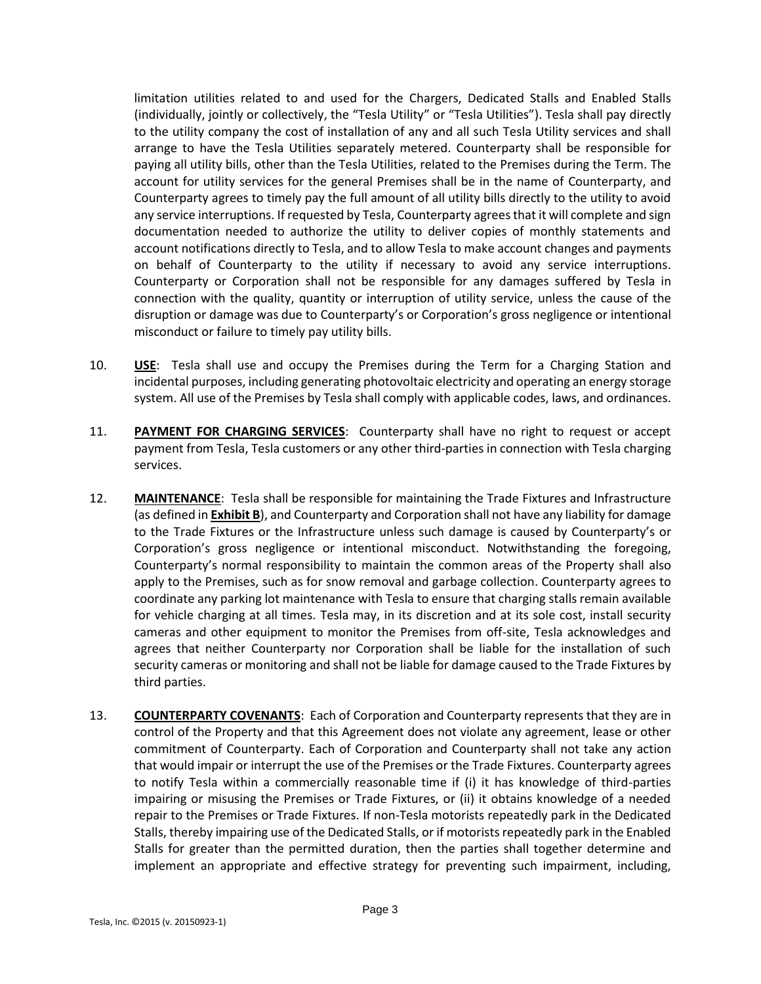limitation utilities related to and used for the Chargers, Dedicated Stalls and Enabled Stalls (individually, jointly or collectively, the "Tesla Utility" or "Tesla Utilities"). Tesla shall pay directly to the utility company the cost of installation of any and all such Tesla Utility services and shall arrange to have the Tesla Utilities separately metered. Counterparty shall be responsible for paying all utility bills, other than the Tesla Utilities, related to the Premises during the Term. The account for utility services for the general Premises shall be in the name of Counterparty, and Counterparty agrees to timely pay the full amount of all utility bills directly to the utility to avoid any service interruptions. If requested by Tesla, Counterparty agrees that it will complete and sign documentation needed to authorize the utility to deliver copies of monthly statements and account notifications directly to Tesla, and to allow Tesla to make account changes and payments on behalf of Counterparty to the utility if necessary to avoid any service interruptions. Counterparty or Corporation shall not be responsible for any damages suffered by Tesla in connection with the quality, quantity or interruption of utility service, unless the cause of the disruption or damage was due to Counterparty's or Corporation's gross negligence or intentional misconduct or failure to timely pay utility bills.

- 10. **USE**: Tesla shall use and occupy the Premises during the Term for a Charging Station and incidental purposes, including generating photovoltaic electricity and operating an energy storage system. All use of the Premises by Tesla shall comply with applicable codes, laws, and ordinances.
- 11. **PAYMENT FOR CHARGING SERVICES**: Counterparty shall have no right to request or accept payment from Tesla, Tesla customers or any other third-parties in connection with Tesla charging services.
- 12. **MAINTENANCE**: Tesla shall be responsible for maintaining the Trade Fixtures and Infrastructure (as defined in **Exhibit B**), and Counterparty and Corporation shall not have any liability for damage to the Trade Fixtures or the Infrastructure unless such damage is caused by Counterparty's or Corporation's gross negligence or intentional misconduct. Notwithstanding the foregoing, Counterparty's normal responsibility to maintain the common areas of the Property shall also apply to the Premises, such as for snow removal and garbage collection. Counterparty agrees to coordinate any parking lot maintenance with Tesla to ensure that charging stalls remain available for vehicle charging at all times. Tesla may, in its discretion and at its sole cost, install security cameras and other equipment to monitor the Premises from off-site, Tesla acknowledges and agrees that neither Counterparty nor Corporation shall be liable for the installation of such security cameras or monitoring and shall not be liable for damage caused to the Trade Fixtures by third parties.
- 13. **COUNTERPARTY COVENANTS**: Each of Corporation and Counterparty represents that they are in control of the Property and that this Agreement does not violate any agreement, lease or other commitment of Counterparty. Each of Corporation and Counterparty shall not take any action that would impair or interrupt the use of the Premises or the Trade Fixtures. Counterparty agrees to notify Tesla within a commercially reasonable time if (i) it has knowledge of third-parties impairing or misusing the Premises or Trade Fixtures, or (ii) it obtains knowledge of a needed repair to the Premises or Trade Fixtures. If non-Tesla motorists repeatedly park in the Dedicated Stalls, thereby impairing use of the Dedicated Stalls, or if motorists repeatedly park in the Enabled Stalls for greater than the permitted duration, then the parties shall together determine and implement an appropriate and effective strategy for preventing such impairment, including,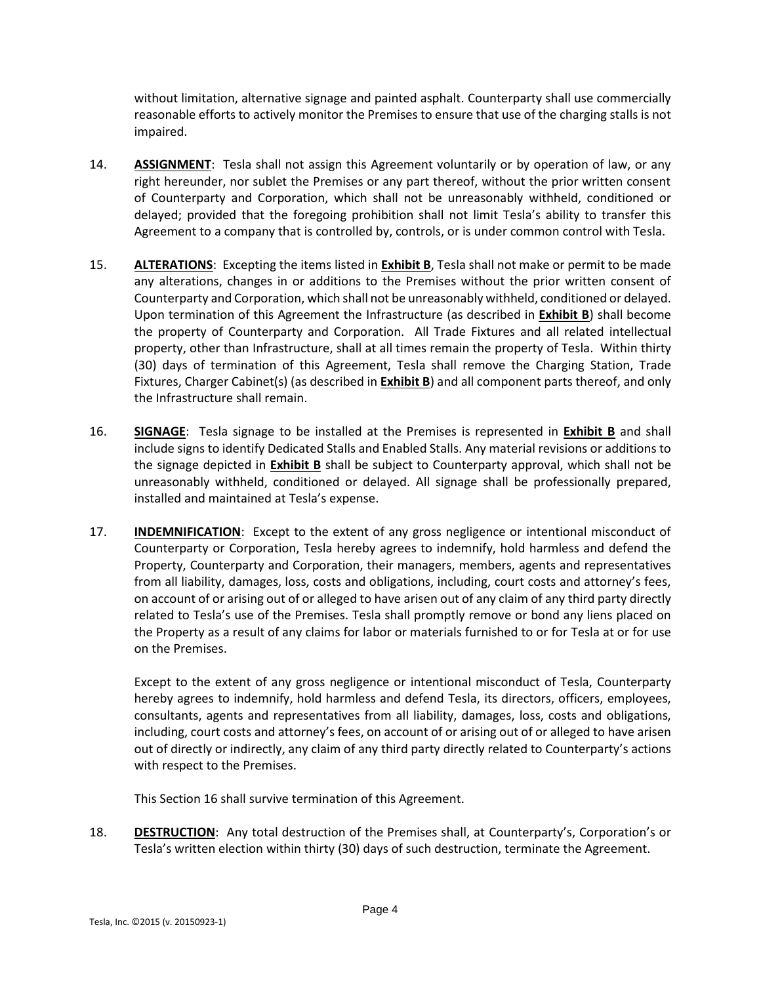without limitation, alternative signage and painted asphalt. Counterparty shall use commercially reasonable efforts to actively monitor the Premises to ensure that use of the charging stalls is not impaired.

- 14. **ASSIGNMENT**: Tesla shall not assign this Agreement voluntarily or by operation of law, or any right hereunder, nor sublet the Premises or any part thereof, without the prior written consent of Counterparty and Corporation, which shall not be unreasonably withheld, conditioned or delayed; provided that the foregoing prohibition shall not limit Tesla's ability to transfer this Agreement to a company that is controlled by, controls, or is under common control with Tesla.
- 15. **ALTERATIONS**: Excepting the items listed in **Exhibit B**, Tesla shall not make or permit to be made any alterations, changes in or additions to the Premises without the prior written consent of Counterparty and Corporation, which shall not be unreasonably withheld, conditioned or delayed. Upon termination of this Agreement the Infrastructure (as described in **Exhibit B**) shall become the property of Counterparty and Corporation. All Trade Fixtures and all related intellectual property, other than Infrastructure, shall at all times remain the property of Tesla. Within thirty (30) days of termination of this Agreement, Tesla shall remove the Charging Station, Trade Fixtures, Charger Cabinet(s) (as described in **Exhibit B**) and all component parts thereof, and only the Infrastructure shall remain.
- 16. **SIGNAGE**: Tesla signage to be installed at the Premises is represented in **Exhibit B** and shall include signs to identify Dedicated Stalls and Enabled Stalls. Any material revisions or additions to the signage depicted in **Exhibit B** shall be subject to Counterparty approval, which shall not be unreasonably withheld, conditioned or delayed. All signage shall be professionally prepared, installed and maintained at Tesla's expense.
- 17. **INDEMNIFICATION**: Except to the extent of any gross negligence or intentional misconduct of Counterparty or Corporation, Tesla hereby agrees to indemnify, hold harmless and defend the Property, Counterparty and Corporation, their managers, members, agents and representatives from all liability, damages, loss, costs and obligations, including, court costs and attorney's fees, on account of or arising out of or alleged to have arisen out of any claim of any third party directly related to Tesla's use of the Premises. Tesla shall promptly remove or bond any liens placed on the Property as a result of any claims for labor or materials furnished to or for Tesla at or for use on the Premises.

Except to the extent of any gross negligence or intentional misconduct of Tesla, Counterparty hereby agrees to indemnify, hold harmless and defend Tesla, its directors, officers, employees, consultants, agents and representatives from all liability, damages, loss, costs and obligations, including, court costs and attorney's fees, on account of or arising out of or alleged to have arisen out of directly or indirectly, any claim of any third party directly related to Counterparty's actions with respect to the Premises.

This Section 16 shall survive termination of this Agreement.

18. **DESTRUCTION**: Any total destruction of the Premises shall, at Counterparty's, Corporation's or Tesla's written election within thirty (30) days of such destruction, terminate the Agreement.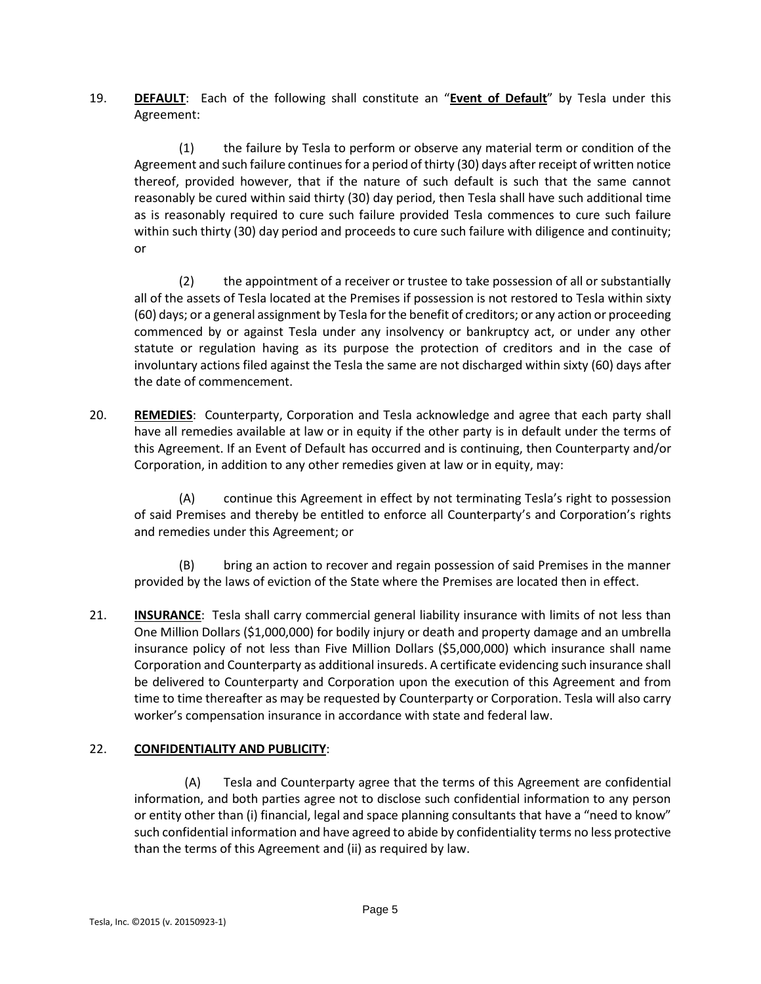19. **DEFAULT**: Each of the following shall constitute an "**Event of Default**" by Tesla under this Agreement:

(1) the failure by Tesla to perform or observe any material term or condition of the Agreement and such failure continues for a period of thirty (30) days after receipt of written notice thereof, provided however, that if the nature of such default is such that the same cannot reasonably be cured within said thirty (30) day period, then Tesla shall have such additional time as is reasonably required to cure such failure provided Tesla commences to cure such failure within such thirty (30) day period and proceeds to cure such failure with diligence and continuity; or

(2) the appointment of a receiver or trustee to take possession of all or substantially all of the assets of Tesla located at the Premises if possession is not restored to Tesla within sixty (60) days; or a general assignment by Tesla for the benefit of creditors; or any action or proceeding commenced by or against Tesla under any insolvency or bankruptcy act, or under any other statute or regulation having as its purpose the protection of creditors and in the case of involuntary actions filed against the Tesla the same are not discharged within sixty (60) days after the date of commencement.

20. **REMEDIES**: Counterparty, Corporation and Tesla acknowledge and agree that each party shall have all remedies available at law or in equity if the other party is in default under the terms of this Agreement. If an Event of Default has occurred and is continuing, then Counterparty and/or Corporation, in addition to any other remedies given at law or in equity, may:

(A) continue this Agreement in effect by not terminating Tesla's right to possession of said Premises and thereby be entitled to enforce all Counterparty's and Corporation's rights and remedies under this Agreement; or

(B) bring an action to recover and regain possession of said Premises in the manner provided by the laws of eviction of the State where the Premises are located then in effect.

21. **INSURANCE:** Tesla shall carry commercial general liability insurance with limits of not less than One Million Dollars (\$1,000,000) for bodily injury or death and property damage and an umbrella insurance policy of not less than Five Million Dollars (\$5,000,000) which insurance shall name Corporation and Counterparty as additional insureds. A certificate evidencing such insurance shall be delivered to Counterparty and Corporation upon the execution of this Agreement and from time to time thereafter as may be requested by Counterparty or Corporation. Tesla will also carry worker's compensation insurance in accordance with state and federal law.

## 22. **CONFIDENTIALITY AND PUBLICITY**:

(A) Tesla and Counterparty agree that the terms of this Agreement are confidential information, and both parties agree not to disclose such confidential information to any person or entity other than (i) financial, legal and space planning consultants that have a "need to know" such confidential information and have agreed to abide by confidentiality terms no less protective than the terms of this Agreement and (ii) as required by law.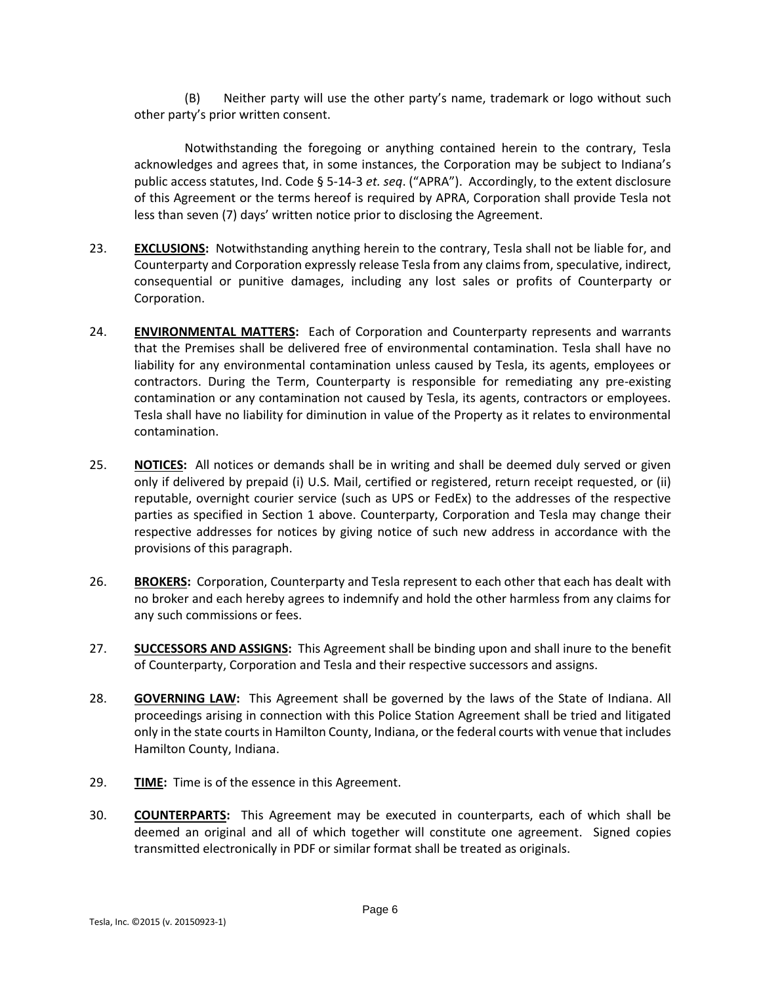(B) Neither party will use the other party's name, trademark or logo without such other party's prior written consent.

Notwithstanding the foregoing or anything contained herein to the contrary, Tesla acknowledges and agrees that, in some instances, the Corporation may be subject to Indiana's public access statutes, Ind. Code § 5-14-3 *et. seq*. ("APRA"). Accordingly, to the extent disclosure of this Agreement or the terms hereof is required by APRA, Corporation shall provide Tesla not less than seven (7) days' written notice prior to disclosing the Agreement.

- 23. **EXCLUSIONS:** Notwithstanding anything herein to the contrary, Tesla shall not be liable for, and Counterparty and Corporation expressly release Tesla from any claims from, speculative, indirect, consequential or punitive damages, including any lost sales or profits of Counterparty or Corporation.
- 24. **ENVIRONMENTAL MATTERS:** Each of Corporation and Counterparty represents and warrants that the Premises shall be delivered free of environmental contamination. Tesla shall have no liability for any environmental contamination unless caused by Tesla, its agents, employees or contractors. During the Term, Counterparty is responsible for remediating any pre-existing contamination or any contamination not caused by Tesla, its agents, contractors or employees. Tesla shall have no liability for diminution in value of the Property as it relates to environmental contamination.
- 25. **NOTICES:** All notices or demands shall be in writing and shall be deemed duly served or given only if delivered by prepaid (i) U.S. Mail, certified or registered, return receipt requested, or (ii) reputable, overnight courier service (such as UPS or FedEx) to the addresses of the respective parties as specified in Section 1 above. Counterparty, Corporation and Tesla may change their respective addresses for notices by giving notice of such new address in accordance with the provisions of this paragraph.
- 26. **BROKERS:** Corporation, Counterparty and Tesla represent to each other that each has dealt with no broker and each hereby agrees to indemnify and hold the other harmless from any claims for any such commissions or fees.
- 27. **SUCCESSORS AND ASSIGNS:** This Agreement shall be binding upon and shall inure to the benefit of Counterparty, Corporation and Tesla and their respective successors and assigns.
- 28. **GOVERNING LAW:** This Agreement shall be governed by the laws of the State of Indiana. All proceedings arising in connection with this Police Station Agreement shall be tried and litigated only in the state courts in Hamilton County, Indiana, or the federal courts with venue that includes Hamilton County, Indiana.
- 29. **TIME:** Time is of the essence in this Agreement.
- 30. **COUNTERPARTS:** This Agreement may be executed in counterparts, each of which shall be deemed an original and all of which together will constitute one agreement. Signed copies transmitted electronically in PDF or similar format shall be treated as originals.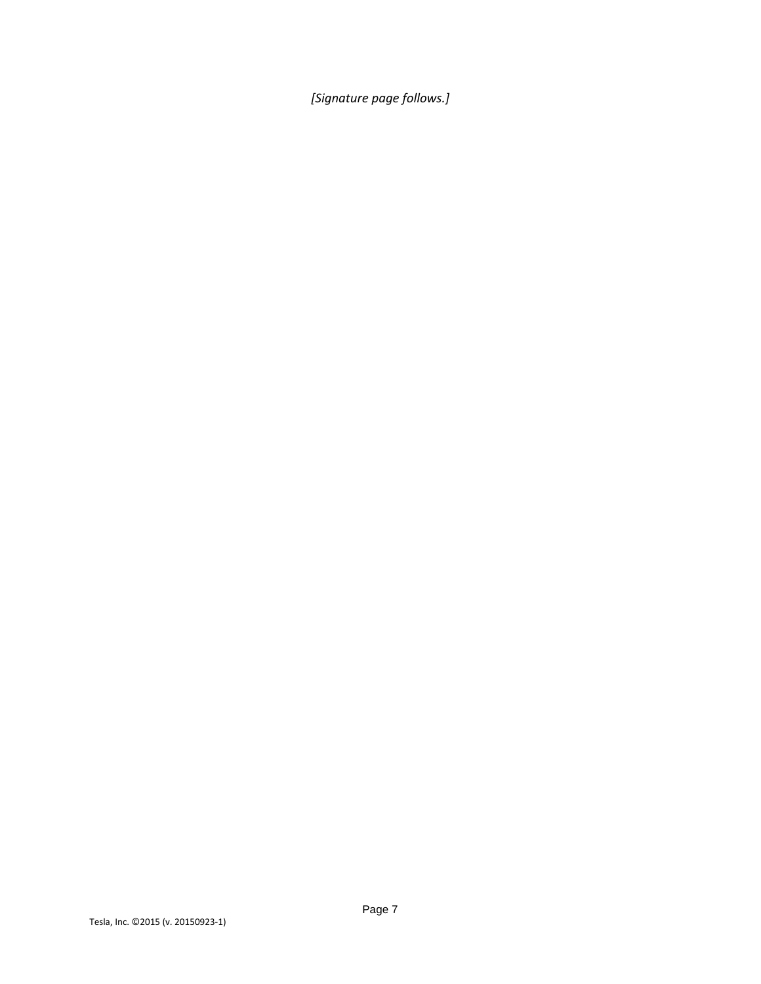*[Signature page follows.]*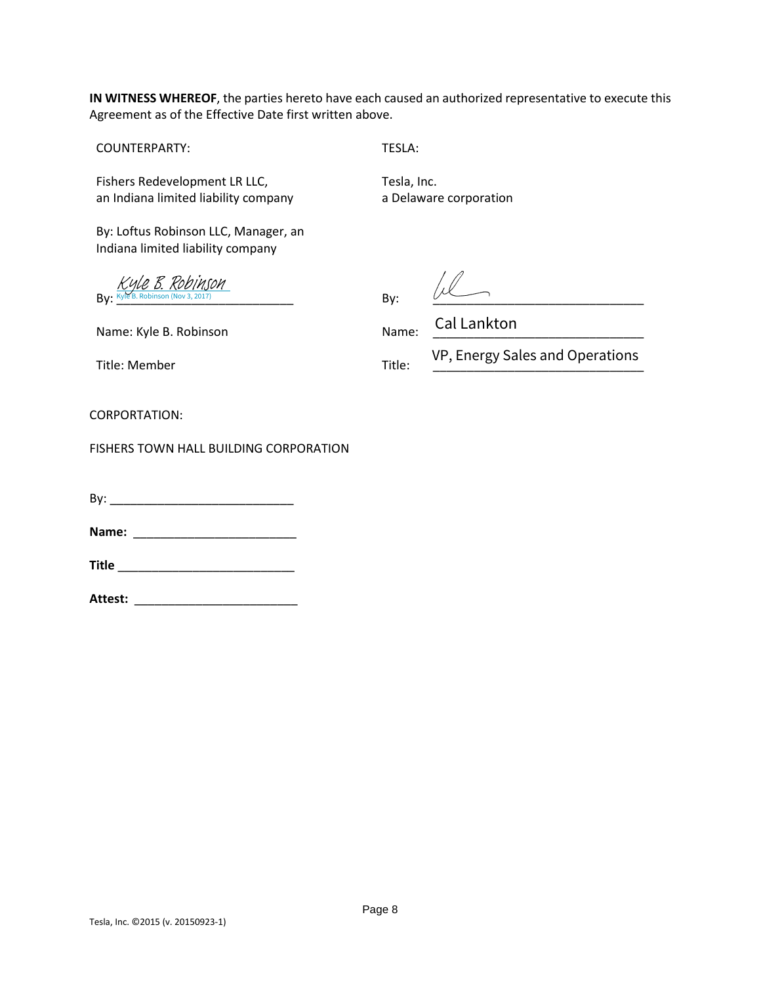**IN WITNESS WHEREOF**, the parties hereto have each caused an authorized representative to execute this Agreement as of the Effective Date first written above.

COUNTERPARTY: TESLA:

Fishers Redevelopment LR LLC, Tesla, Inc. an Indiana limited liability company

By: Loftus Robinson LLC, Manager, an Indiana limited liability company

 $\mathsf{By:} \xrightarrow{\mathsf{Wyl'EB}.} \mathsf{Robinson} \xrightarrow{\mathsf{Nov3, 2017}}} \mathsf{By:} \qquad \qquad \underbrace{\mathsf{By:} \qquad \qquad }$ [Kyle B. Robinson](https://SalesforceIntegration.na1.echosign.com/verifier?tx=CBJCHBCAABAA9icyK8rzthqGIZr3G54jRmH72RQVglw8)

a Delaware corporation

Name: Kyle B. Robinson Name: Cal Lankton

Title: Member Title:

VP, Energy Sales and Operations

CORPORTATION:

FISHERS TOWN HALL BUILDING CORPORATION

By: \_\_\_\_\_\_\_\_\_\_\_\_\_\_\_\_\_\_\_\_\_\_\_\_\_\_\_

**Name:** \_\_\_\_\_\_\_\_\_\_\_\_\_\_\_\_\_\_\_\_\_\_\_\_

**Title** \_\_\_\_\_\_\_\_\_\_\_\_\_\_\_\_\_\_\_\_\_\_\_\_\_\_

**Attest:** \_\_\_\_\_\_\_\_\_\_\_\_\_\_\_\_\_\_\_\_\_\_\_\_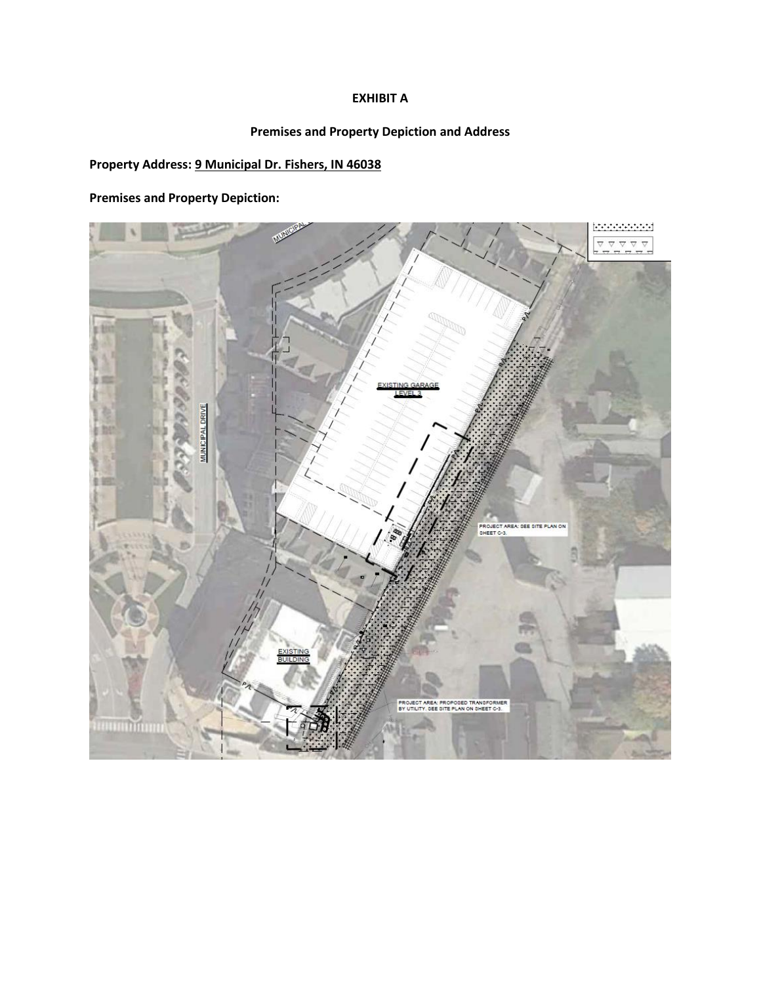## **EXHIBIT A**

# **Premises and Property Depiction and Address**

# **Property Address: 9 Municipal Dr. Fishers, IN 46038**

**Premises and Property Depiction:**

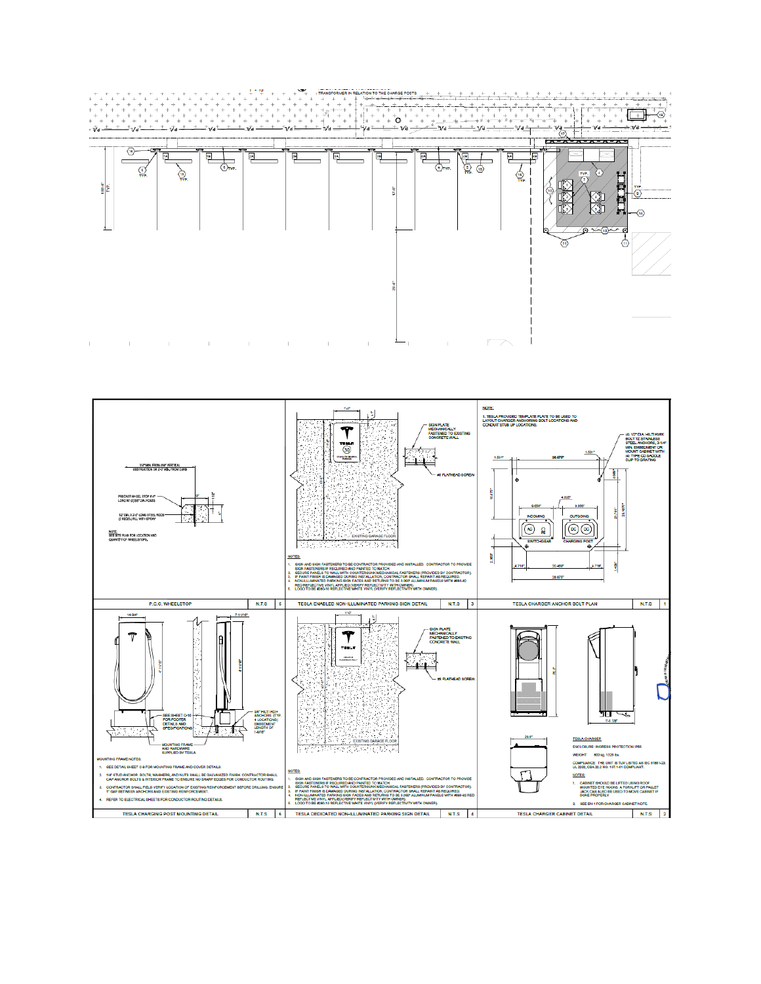